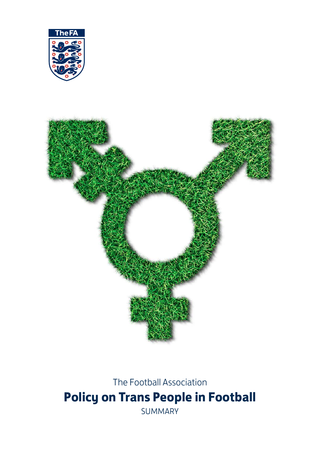



The Football Association **Policy on Trans People in Football** SUMMARY